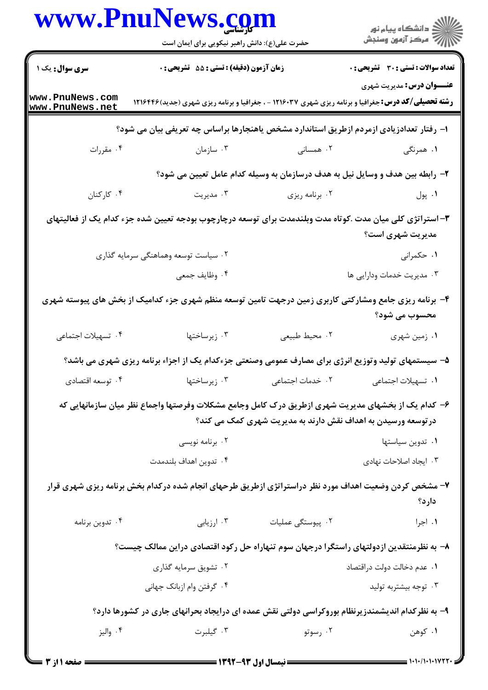|                                    | www.PnuNews.com<br>حضرت علی(ع): دانش راهبر نیکویی برای ایمان است                                          |                                                               | ڪ دانشڪاه پيا <sub>م</sub> نور<br><mark>ر</mark> ⊽ مرڪز آزمون وسنڊش                                                                             |
|------------------------------------|-----------------------------------------------------------------------------------------------------------|---------------------------------------------------------------|-------------------------------------------------------------------------------------------------------------------------------------------------|
| <b>سری سوال :</b> یک ۱             | زمان آزمون (دقیقه) : تستی : 55 آتشریحی : 0                                                                |                                                               | <b>تعداد سوالات : تستی : 30 ٪ تشریحی : 0</b>                                                                                                    |
| www.PnuNews.com<br>www.PnuNews.net |                                                                                                           |                                                               | <b>عنـــوان درس:</b> مديريت شهري<br><b>رشته تحصیلی/کد درس:</b> جغرافیا و برنامه ریزی شهری ۱۲۱۶۰۳۷ - ، جغرافیا و برنامه ریزی شهری (جدید) ۱۲۱۶۴۴۶ |
|                                    | ا– رفتار تعدادزیادی ازمردم ازطریق استاندارد مشخص یاهنجارها براساس چه تعریفی بیان می شود؟                  |                                                               |                                                                                                                                                 |
| ۰۴ مقررات                          | ۰۳ سازمان                                                                                                 | ۰۲ همسانی                                                     | ۰۱ همرنگی                                                                                                                                       |
|                                    |                                                                                                           |                                                               | ۲- رابطه بین هدف و وسایل نیل به هدف درسازمان به وسیله کدام عامل تعیین می شود؟                                                                   |
| ۰۴ کارکنان                         | ۰۳ مدیریت                                                                                                 | ۰۲ برنامه ریزی                                                | ۰۱ پول                                                                                                                                          |
|                                    | ۳– استراتژی کلی میان مدت .کوتاه مدت وبلندمدت برای توسعه درچارچوب بودجه تعیین شده جزء کدام یک از فعالیتهای |                                                               | مدیریت شهری است؟                                                                                                                                |
|                                    | ۰۲ سیاست توسعه وهماهنگی سرمایه گذاری                                                                      |                                                               | ۰۱ حکمرانی                                                                                                                                      |
|                                    | ۰۴ وظايف جمعي                                                                                             |                                                               | ۰۳ مدیریت خدمات ودارایی ها                                                                                                                      |
|                                    | ۴– برنامه ریزی جامع ومشارکتی کاربری زمین درجهت تامین توسعه منظم شهری جزء کدامیک از بخش های پیوسته شهری    |                                                               | محسوب می شود؟                                                                                                                                   |
| ۰۴ تسهیلات اجتماعی                 | ۰۳ زیرساختها                                                                                              | ۰۲ محيط طبيعي                                                 | ۰۱ زمین شهری                                                                                                                                    |
|                                    | ۵- سیستمهای تولید وتوزیع انرژی برای مصارف عمومی وصنعتی جزءکدام یک از اجزاء برنامه ریزی شهری می باشد؟      |                                                               |                                                                                                                                                 |
| ۰۴ توسعه اقتصادي                   | ۰۳ زیرساختها                                                                                              | ٢. خدمات اجتماعی                                              | ٠١ تسهيلات اجتماعي                                                                                                                              |
|                                    | ۶– کدام یک از بخشهای مدیریت شهری ازطریق درک کامل وجامع مشکلات وفرصتها واجماع نظر میان سازمانهایی که       |                                                               |                                                                                                                                                 |
|                                    |                                                                                                           | در توسعه ورسیدن به اهداف نقش دارند به مدیریت شهری کمک می کند؟ |                                                                                                                                                 |
|                                    | ۰۲ برنامه نویسی<br>۰۴ تدوين اهداف بلندمدت                                                                 |                                                               | ۰۱ تدوین سیاستها<br>۰۳ ایجاد اصلاحات نهادی                                                                                                      |
|                                    |                                                                                                           |                                                               |                                                                                                                                                 |
|                                    | ۷- مشخص کردن وضعیت اهداف مورد نظر دراستراتژی ازطریق طرحهای انجام شده درکدام بخش برنامه ریزی شهری قرار     |                                                               | دارد؟                                                                                                                                           |
| ۰۴ تدوین برنامه                    | ۰۳ ارزیابی                                                                                                | ٢. پيوستگى عمليات                                             | ۰۱ اجرا                                                                                                                                         |
|                                    | ۸– به نظرمنتقدین ازدولتهای راستگرا درجهان سوم تنهاراه حل رکود اقتصادی دراین ممالک چیست؟                   |                                                               |                                                                                                                                                 |
|                                    | ۰۲ تشویق سرمایه گذاری                                                                                     |                                                               | ٠١. عدم دخالت دولت دراقتصاد                                                                                                                     |
|                                    | ۰۴ گرفتن وام ازبانک جهانی                                                                                 |                                                               | ۰۳ توجه بیشتربه تولید                                                                                                                           |
|                                    | ۹- به نظرکدام اندیشمندزیرنظام بوروکراسی دولتی نقش عمده ای درایجاد بحرانهای جاری در کشورها دارد؟           |                                                               |                                                                                                                                                 |
| ۰۴ واليز                           | ۰۳ گیلبرت                                                                                                 | ۰۲ رسوتو                                                      | ۰۱ کوهن                                                                                                                                         |
|                                    |                                                                                                           |                                                               |                                                                                                                                                 |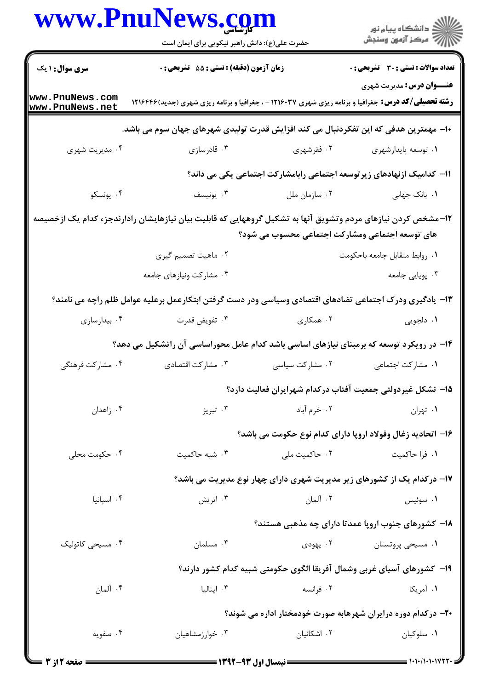|                                    | www.PnuNews.com<br>حضرت علی(ع): دانش راهبر نیکویی برای ایمان است                                             |                 | ر دانشگاه پيام نور<br>دانشگاه پيام نور (                                                                                                        |
|------------------------------------|--------------------------------------------------------------------------------------------------------------|-----------------|-------------------------------------------------------------------------------------------------------------------------------------------------|
| <b>سری سوال : ۱ یک</b>             | زمان آزمون (دقیقه) : تستی : 55 آتشریحی : 0                                                                   |                 | <b>تعداد سوالات : تستی : 30 ٪ تشریحی : 0</b>                                                                                                    |
| www.PnuNews.com<br>www.PnuNews.net |                                                                                                              |                 | <b>عنـــوان درس:</b> مديريت شهري<br><b>رشته تحصیلی/کد درس:</b> جغرافیا و برنامه ریزی شهری ۱۲۱۶۰۳۷ - ، جغرافیا و برنامه ریزی شهری (جدید) ۱۲۱۶۴۴۶ |
|                                    | ∙ا− مهمترین هدفی که این تفکردنبال می کند افزایش قدرت تولیدی شهرهای جهان سوم می باشد.                         |                 |                                                                                                                                                 |
| ۰۴ مدیریت شهری                     | ۰۳ قادرسازی                                                                                                  | ۰۲ فقرشهری      | ۰۱ توسعه پايدارشهري                                                                                                                             |
|                                    |                                                                                                              |                 | ۱۱− کدامیک ازنهادهای زیر توسعه اجتماعی رابامشارکت اجتماعی یکی می داند؟                                                                          |
| ۰۴ يونسكو                          | ۰۳ يونيسف                                                                                                    | ۰۲ سازمان ملل   | ۰۱ بانک جهانی                                                                                                                                   |
|                                    | ۱۲–مشخص کردن نیازهای مردم وتشویق آنها به تشکیل گروههایی که قابلیت بیان نیازهایشان رادارندجزء کدام یک ازخصیصه |                 | های توسعه اجتماعی ومشارکت اجتماعی محسوب می شود؟                                                                                                 |
|                                    | ۰۲ ماهیت تصمیم گیری                                                                                          |                 | ٠١. روابط متقابل جامعه باحكومت                                                                                                                  |
|                                    | ۰۴ مشارکت ونیازهای جامعه                                                                                     |                 | ۰۳ پویایی جامعه                                                                                                                                 |
|                                    | ۱۳- یادگیری ودرک اجتماعی تضادهای اقتصادی وسیاسی ودر دست گرفتن ابتکارعمل برعلیه عوامل ظلم راچه می نامند؟      |                 |                                                                                                                                                 |
| ۰۴ بیدارسازی                       | ۰۳ تفويض قدرت                                                                                                | ۰۲ همکاری       | ۰۱ دلجویی                                                                                                                                       |
|                                    | ۱۴– در رویکرد توسعه که برمبنای نیازهای اساسی باشد کدام عامل محوراساسی آن راتشکیل می دهد؟                     |                 |                                                                                                                                                 |
| ۰۴ مشارکت فرهنگی                   | ۰۳ مشارکت اقتصادی                                                                                            | ۰۲ مشارکت سیاسی | ٠١. مشاركت اجتماعي                                                                                                                              |
|                                    |                                                                                                              |                 | ۱۵– تشکل غیردولتی جمعیت آفتاب درکدام شهرایران فعالیت دارد؟                                                                                      |
| ۰۴ زاهدان                          | ۰۳ تبریز                                                                                                     | ۰۲ خرم آباد     | ٠١ تهران                                                                                                                                        |
|                                    |                                                                                                              |                 | ۱۶- اتحادیه زغال وفولاد اروپا دارای کدام نوع حکومت می باشد؟                                                                                     |
| ۰۴ حکومت محلی                      | ۰۳ شبه حاکمیت                                                                                                | ۰۲ حاکمیت ملی   | ۰۱ فرا حاکمیت                                                                                                                                   |
|                                    |                                                                                                              |                 | ۱۷- درکدام یک از کشورهای زیر مدیریت شهری دارای چهار نوع مدیریت می باشد؟                                                                         |
| ۰۴ اسپانیا                         | ۰۳ اتریش                                                                                                     | ۰۲ آلمان        | ۰۱ سوئیس                                                                                                                                        |
|                                    |                                                                                                              |                 | ۱۸- کشورهای جنوب اروپا عمدتا دارای چه مذهبی هستند؟                                                                                              |
| ۰۴ مسیح <sub>ی</sub> کاتولیک       | ۰۳ مسلمان                                                                                                    |                 | ۰۱ مسیحی پروتستان <b>۲۰۰ میل</b> ودی                                                                                                            |
|                                    |                                                                                                              |                 | ۱۹− کشورهای آسیای غربی وشمال آفریقا الگوی حکومتی شبیه کدام کشور دارند؟                                                                          |
| ۰۴ آلمان                           | ۰۳ ایتالیا                                                                                                   | ۰۲ فرانسه       | ۰۱ آمریکا                                                                                                                                       |
|                                    |                                                                                                              |                 | ۲۰– درکدام دوره درایران شهرهابه صورت خودمختار اداره می شوند؟                                                                                    |
| ۰۴ صفویه                           | ۰۳ خوارزمشاهیان                                                                                              | ۰۲ اشکانیان     | ۰۱ سلوکیان                                                                                                                                      |

 $= 1.1 - (1.1.107)$